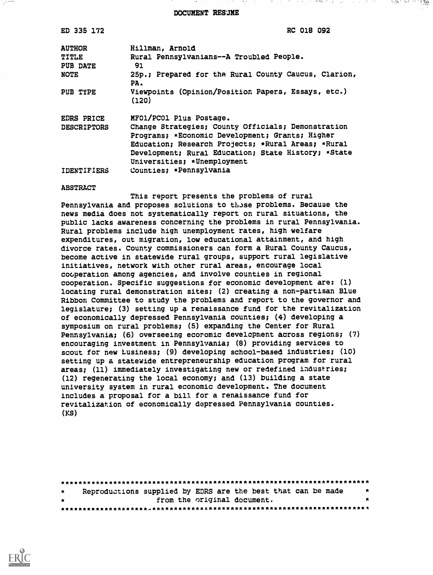DOCUMENT RESUME

アダプション しょうしょう 大地 ひっとう データ・エストライン

不活力 死亡 大学教師

| ED 335 172         | <b>RC 018 092</b>                                                                                                                                                                                                                                 |
|--------------------|---------------------------------------------------------------------------------------------------------------------------------------------------------------------------------------------------------------------------------------------------|
| <b>AUTHOR</b>      | Hillman, Arnold                                                                                                                                                                                                                                   |
| TITLE              | Rural Pennsylvanians--A Troubled People.                                                                                                                                                                                                          |
| PUB DATE           | 91                                                                                                                                                                                                                                                |
| <b>NOTE</b>        | 25p.; Prepared for the Rural County Caucus, Clarion,<br>PA.                                                                                                                                                                                       |
| PUB TYPE           | Viewpoints (Opinion/Position Papers, Essays, etc.)<br>(120)                                                                                                                                                                                       |
| <b>EDRS PRICE</b>  | MFO1/PCO1 Plus Postage.                                                                                                                                                                                                                           |
| <b>DESCRIPTORS</b> | Change Strategies; County Officials; Demonstration<br>Programs; *Economic Development; Grants; Higher<br>Education; Research Projects; *Rural Areas; *Rural<br>Development; Rural Education; State History; *State<br>Universities; *Unemployment |
| <b>IDENTIFIERS</b> | Counties; *Pennsylvania                                                                                                                                                                                                                           |

#### ABSTRACT

a jihar me

This report presents the problems of rural Pennsylvania and proposes solutions to tiose problems. Because the news media does not systematically report on rural situations, the public lacks awareness concerning the problems in rural Pennsylvania. Rural problems include high unemployment rates, high welfare expenditures, out migration, low educational attainment, and high divorce rates. County commissioners can form a Rural County Caucus, become active in statewide rural groups, support rural legislative initiatives, network with other rural areas, encourage local cooperation among agencies, and involve counties in regional cooperation. Specific suggestions for economic development are: (1) locating rural demonstration sites; (2) creating a non-partisan Blue Ribbon Committee to study the problems and report to the governor and legislature; (3) setting up a renaissance fund for the revitalization of economically depressed Pennsylvania counties; (4) developing a symposium on rural problems; (5) expanding the Center for Rural Pennsylvania; (6) overseeing ecoromic development across regions; (7) encouraging investment in Pennsylvania; (8) providing services to scout for new Lusiness; (9) developing school-based industries; (10) setting up a statewide entrepreneurship education program for rural areas; (11) immediately investigating new or redefined industries; (12) regenerating the local economy; and (13) building a state university system in rural economic development. The document includes a proposal for a bill for a renaissance fund for revitalization of economically depressed Pennsylvania counties. (KS)

\*\*\*\*\*\*\*\*\*\*\*\*\*\*\*\*\*\*\*\*\*\*\*\*\*\*\*\*\*\*\*\*\*\*\*\*\*\*\*\*\*\*\*\*\*\*\*\*\*\*\*\*\*\*\*\*\*\*\*\*\*\*\*\*\*\*\*\*\*\*\* Reproductions supplied by EDRS are the best that can be made from the original document. \*\*\*\*\*\*\*\*\*\*\*\*\*\*\*\*\*\*\*\*A\*\*\*\*\*\*\*\*\*\*\*\*\*\*\*\*\*\*\*\*\*\*\*\*\*\*\*\*\*\*\*\*\*\*\*\*\*\*\*\*\*\*\*\*\*\*\*\*\*\*

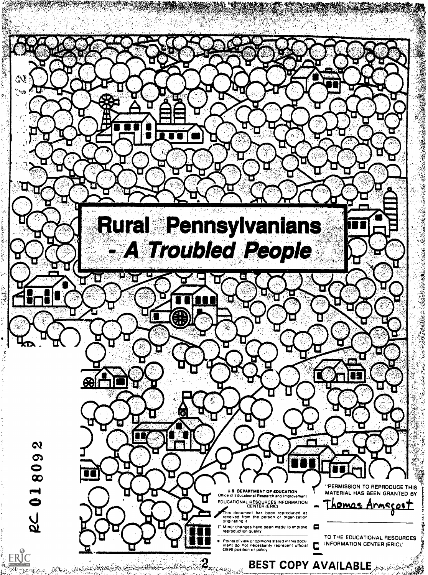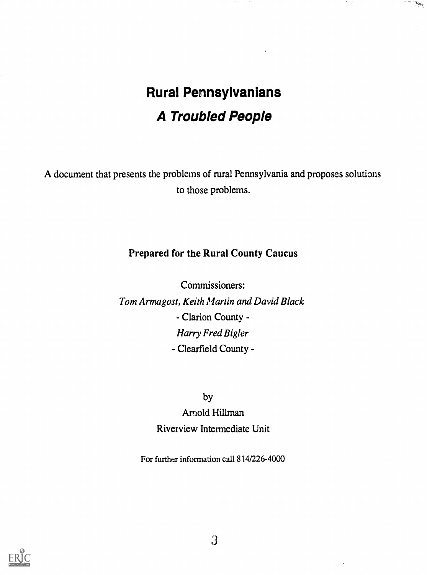# Rural Pennsylvanians A Troubled People

أشترتها والمرارين

A document that presents the problems of rural Pennsylvania and proposes solutions to those problems.

### Prepared for the Rural County Caucus

Commissioners: Tom Armagost, Keith Martin and David Black - Clarion County - Harry Fred Bigler - Clearfield County -

by

Artiold Hillman Riverview Intermediate Unit

For further information call 814/226-4000

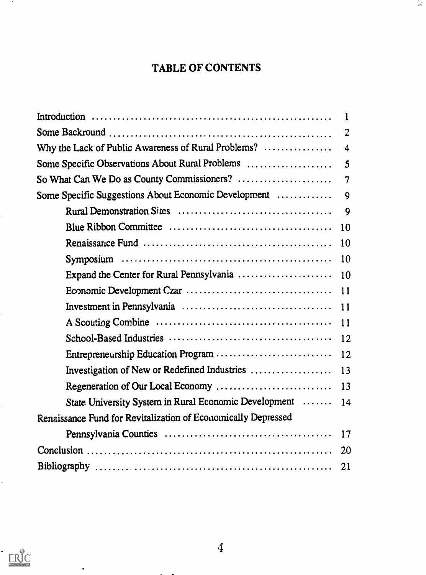### TABLE OF CONTENTS

 $\mathcal{L}_{\mathcal{A}}$ 

|                                                               | $\overline{2}$           |
|---------------------------------------------------------------|--------------------------|
|                                                               |                          |
| Some Specific Observations About Rural Problems               | 5                        |
| So What Can We Do as County Commissioners?                    | $\overline{\mathcal{I}}$ |
| Some Specific Suggestions About Economic Development          | 9                        |
|                                                               | 9                        |
|                                                               |                          |
|                                                               |                          |
|                                                               |                          |
|                                                               |                          |
|                                                               |                          |
|                                                               |                          |
|                                                               |                          |
|                                                               |                          |
|                                                               |                          |
|                                                               |                          |
| Regeneration of Our Local Economy                             | 13                       |
| State University System in Rural Economic Development  14     |                          |
| Renaissance Fund for Revitalization of Economically Depressed |                          |
|                                                               |                          |
|                                                               | <b>20</b>                |
|                                                               | 21                       |



 $\bullet$ 

 $\sim 10$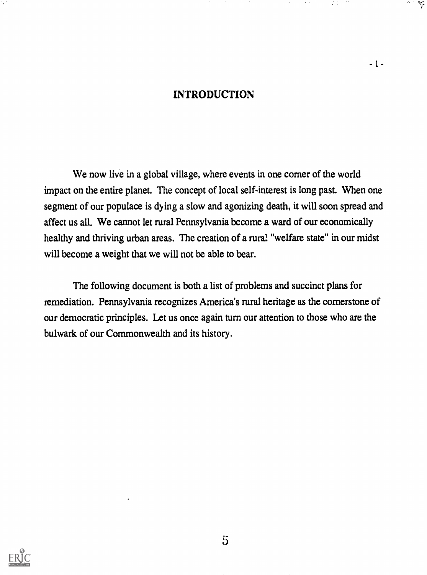### INTRODUCTION

 $-1-$ 

regi

We now live in a global village, where events in one corner of the world impact on the entire planet. The concept of local self-interest is long past. When one segment of our populace is dying a slow and agonizing death, it will soon spread and affect us all. We cannot let rural Pennsylvania become a ward of our economically healthy and thriving urban areas. The creation of a rural "welfare state" in our midst will become a weight that we will not be able to bear.

The following document is both a list of problems and succinct plans for remediation. Pennsylvania recognizes America's rural heritage as the cornerstone of our democratic principles. Let us once again turn our attention to those who are the bulwark of our Commonwealth and its history.

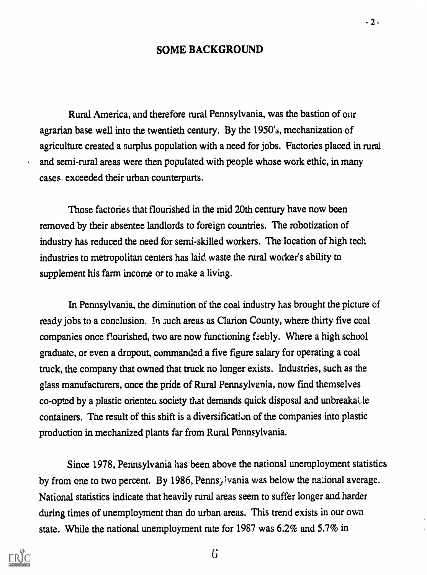#### SOME BACKGROUND

Rural America, and therefore rural Pennsylvania, was the bastion of our agrarian base well into the twentieth century. By the 1950's, mechanization of agriculture created a surplus population with a need for jobs. Factories placed in rural and semi-rural areas were then populated with people whose work ethic, in many cases. exceeded their urban counterparts.

Those factories that flourished in the mid 20th century have now been removed by their absentee landlords to foreign countries. The robotization of industry has reduced the need for semi-skilled workers. The location of high tech industries to metropolitan centers has laid. waste the rural worker's ability to supplement his farm income or to make a living.

In Pennsylvania, the diminution of the coal industry has brought the picture of ready jobs to a conclusion. In such areas as Clarion County, where thirty five coal companies once flourished, two are now functioning faebly. Where a high school graduate, or even a dropout, commanded a five figure salary for operating a coal truck, the company that owned that truck no longer exists. Industries, such as the glass manufacturers, once the pride of Rural Pennsylvania, now find themselves co-opted by a plastic oriented society that demands quick disposal and unbreakalle containers. The result of this shift is a diversification of the companies into plastic production in mechanized plants far from Rural Pennsylvania.

Since 1978, Pennsylvania has been above the national unemployment statistics by from one to two percent. By 1986, Pennsylvania was below the national average. National statistics indicate that heavily rural areas seem to suffer longer and harder during times of unemployment than do urban areas. This trend exists in our own state. While the national unemployment rate for 1987 was 6.2% and 5.7% in



6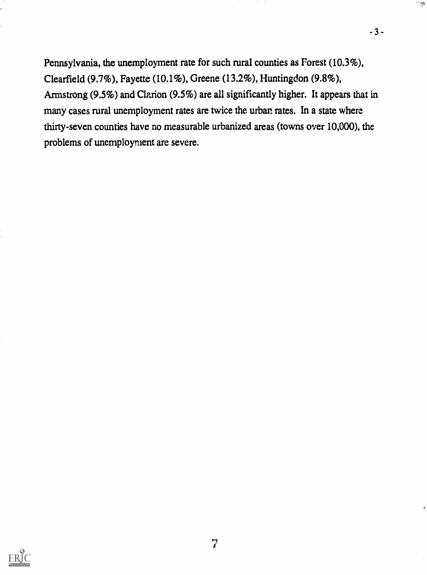Pennsylvania, the unemployment rate for such rural counties as Forest (10.3%), Clearfield (9.7%), Fayette (10.1%), Greene (13.2%), Huntingdon (9.8%), Armstrong (9.5%) and Clarion (9.5%) are all significantly higher. It appears that in many cases rural unemployment rates are twice the urban rates. In a state where thirty-seven counties have no measurable urbanized areas (towns over 10,000), the problems of unemployment are severe.

 $-3-$ 

 $\sim$  85

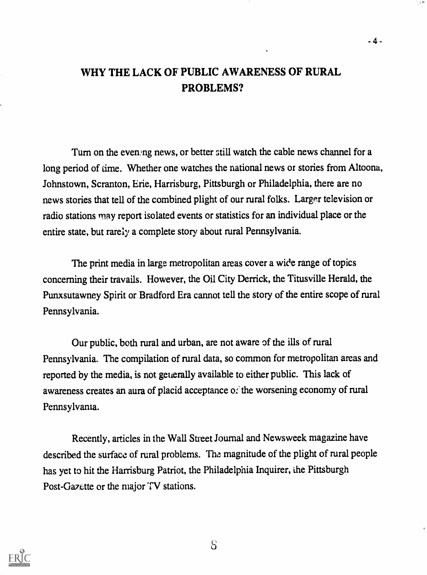### WHY THE LACK OF PUBLIC AWARENESS OF RURAL PROBLEMS?

 $-4-$ 

Turn on the evening news, or better still watch the cable news channel for a long period of time. Whether one watches the national news or stories from Altoona, Johnstown, Scranton, Erie, Harrisburg, Pittsburgh or Philadelphia, there are no news stories that tell of the combined plight of our rural folks. Larger television or radio stations may report isolated events or statistics for an individual place or the entire state, but rarely a complete story about rural Pennsylvania.

The print media in large metropolitan areas cover a wide range of topics concerning their travails. However, the Oil City Derrick, the Titusville Herald, the Punxsutawney Spirit or Bradford Era cannot tell the story of the entire scope of rural Pennsylvania.

Our public, both rural and urban, are not aware of the ills of rural Pennsylvania. The compilation of rural data, so common for metropolitan areas and reported by the media, is not generally available to either public. This lack of awareness creates an aura of placid acceptance of the worsening economy of rural Pennsylvania.

Recently, articles in the Wall Street Journal and Newsweek magazine have described the surface of rural problems. The magnitude of the plight of rural people has yet to hit the Harrisburg Patriot, the Philadelphia Inquirer, the Pittsburgh Post-Gazette or the major TV stations.



 $S$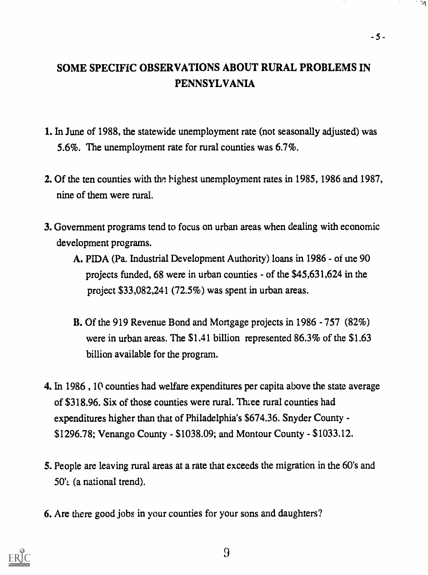### SOME SPECIFIC OBSERVATIONS ABOUT RURAL PROBLEMS IN PENNSYLVANIA

 $-5 -$ 

- 1. In June of 1988, the statewide unemployment rate (not seasonally adjusted) was 5.6%. The unemployment rate for rural counties was 6.7%.
- 2. Of the ten counties with the highest unemployment rates in 1985, 1986 and 1987, nine of them were rural.
- 3. Government programs tend to focus on urban areas when dealing with economic development programs.
	- A. PIDA (Pa. Industrial Development Authority) loans in 1986 of me 90 projects funded, 68 were in urban counties - of the \$45,631,624 in the project \$33,082,241 (72.5%) was spent in urban areas.
	- B. Of the 919 Revenue Bond and Mortgage projects in 1986 757 (82%) were in urban areas. The \$1.41 billion represented 86.3% of the \$1.63 billion available for the program.
- 4. In 1986, 10 counties had welfare expenditures per capita above the state average of \$318.96. Six of those counties were rural. The rural counties had expenditures higher than that of Philadelphia's \$674.36. Snyder County - \$1296.78; Venango County - \$1038.09; and Montour County - \$1033.12.
- 5. People are leaving rural areas at a rate that exceeds the migration in the 60's and  $50'$  (a national trend).
- 6. Are there good jobs in your counties for your sons and daughters?



9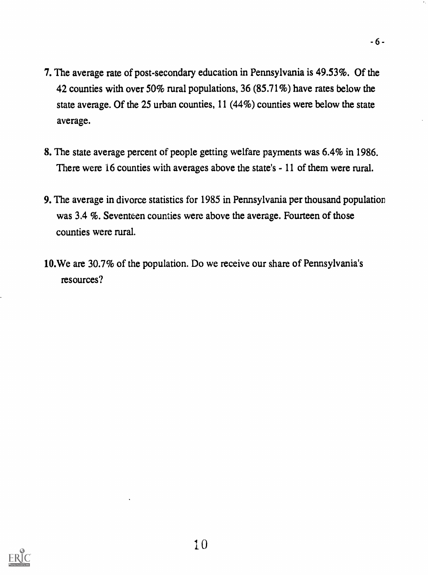- 7. The average rate of post-secondary education in Pennsylvania is 49.53%. Of the 42 counties with over 50% rural populations, 36 (85.71%) have rates below the state average. Of the 25 urban counties, 11 (44%) counties were below the state average.
- 8. The state average percent of people getting welfare payments was 6.4% in 1986. There were 16 counties with averages above the state's - 11 of them were rural.
- 9. The average in divorce statistics for 1985 in Pennsylvania per thousand population was 3.4 %. Seventeen counties were above the average. Fourteen of those counties were rural.
- 10.We are 30.7% of the population. Do we receive our share of Pennsylvania's resources?

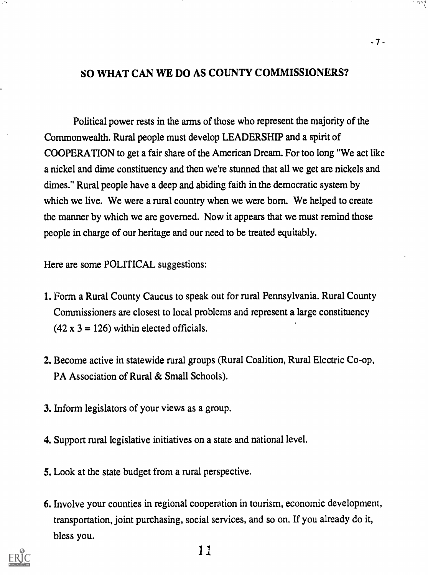#### SO WHAT CAN WE DO AS COUNTY COMMISSIONERS?

Political power rests in the arms of those who represent the majority of the Commonwealth. Rural people must develop LEADERSHIP and a spirit of COOPERATION to get a fair share of the American Dream. For too long "We act like a nickel and dime constituency and then we're stunned that all we get are nickels and dimes." Rural people have a deep and abiding faith in the democratic system by which we live. We were a rural country when we were born. We helped to create the manner by which we are governed. Now it appears that we must remind those people in charge of our heritage and our need to be treated equitably.

Here are some POLITICAL suggestions:

- I. Form a Rural County Caucus to speak out for rural Pennsylvania. Rural County Commissioners are closest to local problems and represent a large constituency  $(42 \times 3 = 126)$  within elected officials.
- 2. Become active in statewide rural groups (Rural Coalition, Rural Electric Co-op, PA Association of Rural & Small Schools).
- 3. Inform legislators of your views as a group.
- 4. Support rural legislative initiatives on a state and national level.
- 5. Look at the state budget from a rural perspective.
- 6. Involve your counties in regional cooperation in tourism, economic development, transportation, joint purchasing, social services, and so on. If you already do it, bless you.



나는 손으로<br>기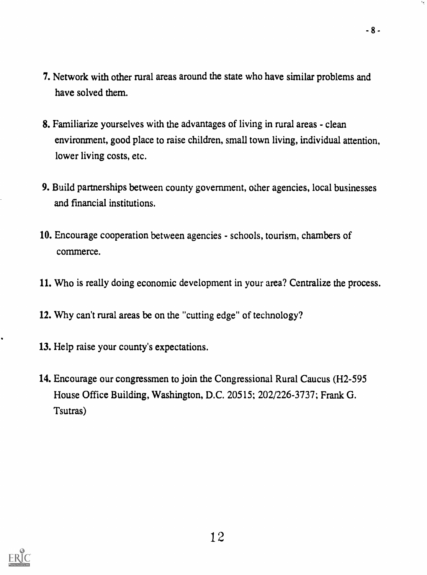7. Network with other rural areas around the state who have similar problems and have solved them.

 $-8 -$ 

- 8. Familiarize yourselves with the advantages of living in rural areas clean environment, good place to raise children, small town living, individual attention, lower living costs, etc.
- 9. Build partnerships between county government, other agencies, local businesses and fmancial institutions.
- 10. Encourage cooperation between agencies schools, tourism, chambers of commerce.
- 11. Who is really doing economic development in your area? Centralize the process.
- 12. Why can't rural areas be on the "cutting edge" of technology?
- 13. Help raise your county's expectations.
- 14. Encourage our congressmen to join the Congressional Rural Caucus (H2-595 House Office Building, Washington, D.C. 20515; 202/226-3737; Frank G. Tsutras)

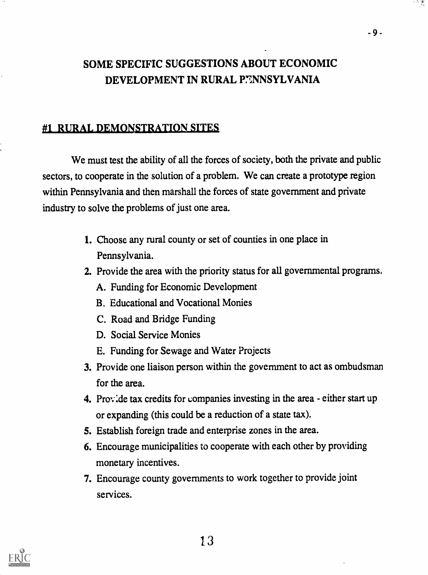## SOME SPECIFIC SUGGESTIONS ABOUT ECONOMIC DEVELOPMENT IN RURAL P7ANSYLVANIA

### #1 RURAL DEMONSTRATION SITES

We must test the ability of all the forces of society, both the private and public sectors, to cooperate in the solution of a problem. We can create a prototype region within Pennsylvania and then marshall the forces of state government and private industry to solve the problems of just one area.

- 1. Choose any rural county or set of counties in one place in Pennsylvania.
- 2. Provide the area with the priority status for all governmental programs.
	- A. Funding for Economic Development
	- B. Educational and Vocational Monies
	- C. Road and Bridge Funding
	- D. Social Service Monies
	- E. Funding for Sewage and Water Projects
- 3. Provide one liaison person within the government to act as ombudsman for the area.
- 4. Prov:de tax credits for companies investing in the area either start up or expanding (this could be a reduction of a state tax).
- S. Establish foreign trade and enterprise zones in the area.
- 6. Encourage municipalities to cooperate with each other by providing monetary incentives.
- 7. Encourage county governments to work together to provide joint services.



.9.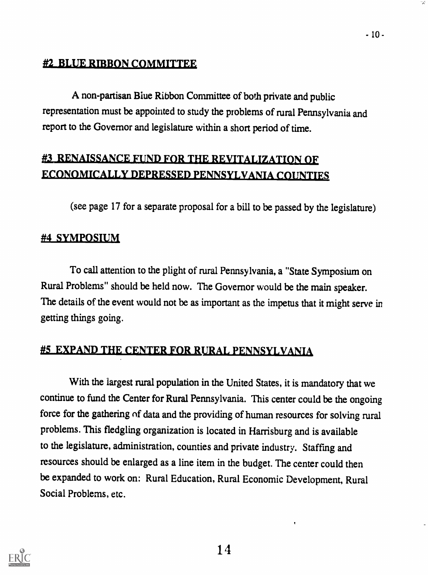### #2 BLUE RIBBON COMMITTEE

A non-partisan Biue Ribbon Committee of both private and public representation must be appointed to study the problems of rural Pennsylvania and report to the Governor and legislature within a short period of time.

## #3 RENAISSANCE FUND FOR THE REVITALIZATION OF ECONOMICALLY DEPRESSED PENNSYLVANIA COUNTIES

(see page 17 for a separate proposal for a bill to be passed by the legislature)

### #4 SYMPOSIUM

To call attention to the plight of rural Pennsylvania, a "State Symposium on Rural Problems" should be held now. The Governor would be the main speaker. The details of the event would not be as important as the impetus that it might serve in getting things going.

### #5 EXPAND THE CENTER FOR RURAL PENNSYLVANIA

With the largest rural population in the United States, it is mandatory that we continue to fund the Center for Rural Pennsylvania. This center could be the ongoing force for the gathering of data and the providing of human resources for solving rural problems. This fledgling organization is located in Harrisburg and is available to the legislature, administration, counties and private industry. Staffmg and resources should be enlarged as a line item in the budget. The center could then be expanded to work on: Rural Education, Rural Economic Development, Rural Social Problems, etc.

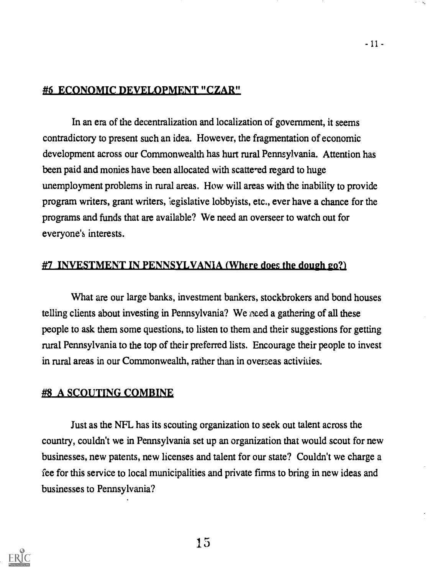#### #6 ECONOMIC DEVELOPMENT "CZAR"

In an era of the decentralization and localization of government, it seems contradictory to present such an idea. However, the fragmentation of economic development across our Commonwealth has hurt rural Pennsylvania. Attention has been paid and monies have been allocated with scattered regard to huge unemployment problems in rural areas. How will areas with the inability to provide program writers, grant writers, eigislative lobbyists, etc., ever have a chance for the programs and funds that are available? We need an overseer to watch out for everyone's interests.

#### #7 INVESTMENT IN PENNSYLVANIA (Where does the dough  $\epsilon$ 0?)

What are our large banks, investment bankers, stockbrokers and bond houses telling clients about investing in Pennsylvania? We need a gathering of all these people to ask them some questions, to listen to them and their suggestions for getting rural Pennsylvania to the top of their preferred lists. Encourage their people to invest in rural areas in our Commonwealth, rather than in overseas activities.

#### #8 A SCOUTING COMBINE

Just as the NFL has its scouting organization to seek out talent across the country, couldn't we in Pennsylvania set up an organization that would scout for new businesses, new patents, new licenses and talent for our state? Couldn't we charge a fee for this service to local municipalities and private firms to bring in new ideas and businesses to Pennsylvania?



15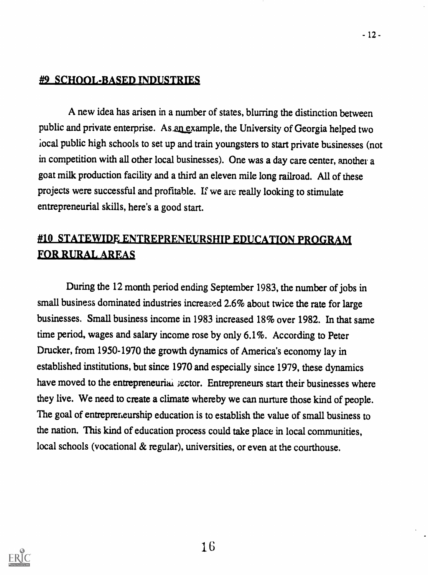### **#9 SCHOOL-BASED INDUSTRIES**

A new idea has arisen in a number of states, blurring the distinction between public and private enterprise. As an example, the University of Georgia helped two local public high schools to set up and train youngsters to start private businesses (not in competition with all other local businesses). One was a day care center, another a goat milk production facility and a third an eleven mile long railroad. All of these projects were successful and profitable. If we are really looking to stimulate entrepreneurial skills, here's a good start.

### #10 STATEWIDE ENTREPRENEURSHIP EDUCATION PROGRAM **FOR RURAL AREAS**

During the 12 month period ending September 1983, the number of jobs in small business dominated industries increased 2.6% about twice the rate for large businesses. Small business income in 1983 increased 18% over 1982. In that same time period, wages and salary income rose by only 6.1%. According to Peter Drucker, from 1950-1970 the growth dynamics of America's economy lay in established institutions, but since 1970 and especially since 1979, these dynamics have moved to the entrepreneurial sector. Entrepreneurs start their businesses where they live. We need to create a climate whereby we can nurture those kind of people. The goal of entrepreneurship education is to establish the value of small business to the nation. This kind of education process could take place in local communities, local schools (vocational & regular), universities, or even at the courthouse.

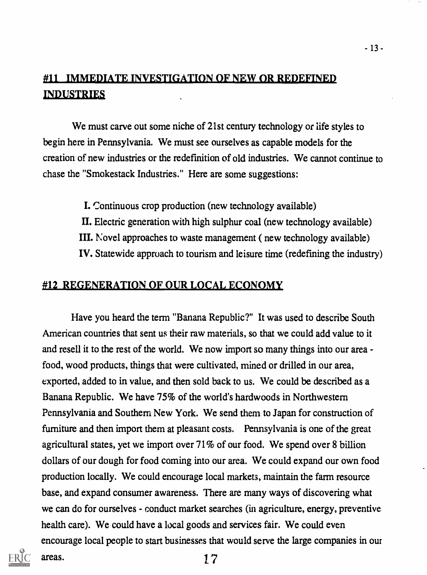### #11 IMMEDIATE INVESTIGATION OF NEW OR REDEFINED **INDUSTRIES**

We must carve out some niche of 21st century technology or life styles to begin here in Pennsylvania. We must see ourselves as capable models for the creation of new industries or the redefmition of old industries. We cannot continue to chase the "Smokestack Industries." Here are some suggestions:

I. Continuous crop production (new technology available)

- Electric generation with high sulphur coal (new technology available)
- III. Novel approaches to waste management ( new technology available)

IV. Statewide approach to tourism and leisure time (redefming the industry)

#### #12 REGENERATION OF OUR LOCAL ECONOMY

Have you heard the term "Banana Republic?" It was used to describe South American countries that sent us their raw materials, so that we could add value to it and resell it to the rest of the world. We now import so many things into our area food, wood products, things that were cultivated, mined or drilled in our area, exported, added to in value, and then sold back to us. We could be described as a Banana Republic. We have 75% of the world's hardwoods in Northwestern Pennsylvania and Southern New York. We send them to Japan for construction of furniture and then import them at pleasant costs. Pennsylvania is one of the great agricultural states, yet we import over 71% of our food. We spend over 8 billion dollars of our dough for food coming into our area. We could expand our own food production locally. We could encourage local markets, maintain the farm resource base, and expand consumer awareness. There are many ways of discovering what we can do for ourselves - conduct market searches (in agriculture, energy, preventive health care). We could have a local goods and services fair. We could even encourage local people to start businesses that would serve the large companies in our

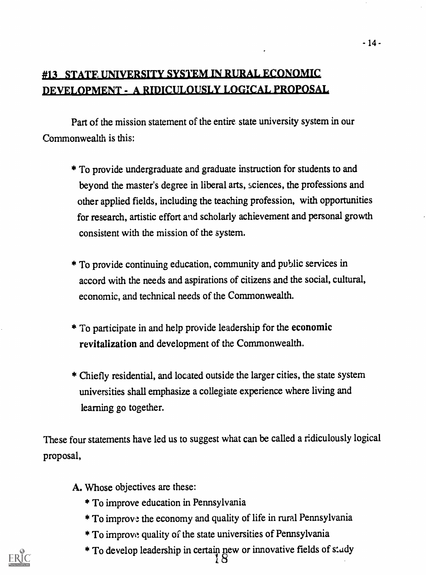### NIVERSITY SYSTEM IN RURAL ECONOMIC DEVELOPMENT - A RIDICULOUSLY LOGICAL PROPOSAL

Part of the mission statement of the entire state university system in our Commonwealth is this:

- \* To provide undergraduate and graduate instruction for students to and beyond the master's degree in liberal arts, sciences, the professions and other applied fields, including the teaching profession, with opportunities for research, artistic effort and scholarly achievement and personal growth consistent with the mission of the system.
- \* To provide continuing education, community and public services in accord with the needs and aspirations of citizens and the social, cultural, economic, and technical needs of the Commonwealth.
- \* To participate in and help provide leadership for the economic revitalization and development of the Commonwealth.
- \* Chiefly residential, and located outside the larger cities, the state system universities shall emphasize a collegiate experience where living and learning go together.

These four statements have led us to suggest what can be called a ridiculously logical proposal,

- A. Whose objectives are these:
	- \* To improve education in Pennsylvania
	- \* To improve the economy and quality of life in rural Pennsylvania
	- \* To improvo quality of the state universities of Pennsylvania
	- \* To develop leadership in certain new or innovative fields of study 1 8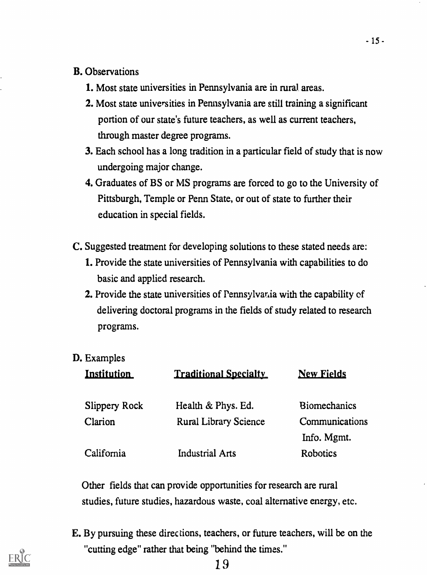#### B. Observations

- 1. Most state universities in Pennsylvania are in rural areas.
- 2. Most state universities in Pennsylvania are still training a significant portion of our state's future teachers, as well as current teachers, through master degree programs.
- 3. Each school has a long tradition in a particular field of study that is now undergoing major change.
- 4. Graduates of BS or MS programs are forced to go to the University of Pittsburgh, Temple or Penn State, or out of state to further their education in special fields.
- C. Suggested treatment for developing solutions to these stated needs are:
	- 1. Provide the state universities of Pennsylvania with capabilities to do basic and applied research.
	- 2. Provide the state universities of Pennsylvar<sub>d</sub>ia with the capability of delivering doctoral programs in the fields of study related to research programs.
- D. Examples

| Institution          | <b>Traditional Specialty</b> | <b>New Fields</b>   |
|----------------------|------------------------------|---------------------|
| <b>Slippery Rock</b> | Health & Phys. Ed.           | <b>Biomechanics</b> |
| Clarion              | <b>Rural Library Science</b> | Communications      |
|                      |                              | Info. Mgmt.         |
| California           | <b>Industrial Arts</b>       | Robotics            |

Other fields that can provide opportunities for research are rural studies, future studies, hazardous waste, coal alternative energy, etc.

E. By pursuing these direc tions, teachers, or future teachers, will be on the "cutting edge" rather that being "behind the times."

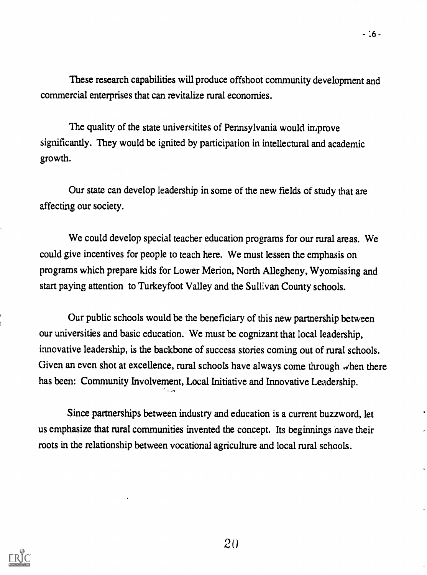$-16 -$ 

These research capabilities will produce offshoot community development and commercial enterprises that can revitalize rural economies.

The quality of the state universitites of Pennsylvania would improve significantly. They would be ignited by participation in intellectural and academic growth.

Our state can develop leadership in some of the new fields of study that are affecting our society.

We could develop special teacher education programs for our rural areas. We could give incentives for people to teach here. We must lessen the emphasis on programs which prepare kids for Lower Merion, North Allegheny, Wyomissing and start paying attention to Turkeyfoot Valley and the Sullivan County schools.

Our public schools would be the beneficiary of this new partnership between our universities and basic education. We must be cognizant that local leadership, innovative leadership, is the backbone of success stories coming out of rural schools. Given an even shot at excellence, rural schools have always come through  $\omega$  hen there has been: Community Involvement, Local Initiative and Innovative Leadership.

Since parmerships between industry and education is a current buzzword, let us emphasize that rural communifies invented the concept. Its beginnings nave their roots in the relationship between vocational agriculture and local rural schools.

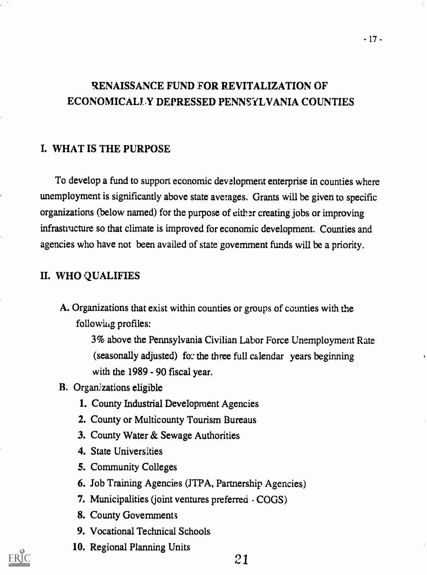### RENAISSANCE FUND FOR REVITALIZATION OF ECONOMICALLY DEPRESSED PENNSYLVANIA COUNTIES

#### I. WHAT IS THE PURPOSE

To develop a fund to support economic development enterprise in counties where unemployment is significantly above state averages. Grants will be given to specific organizations (below named) for the purpose of either creating jobs or improving infrastructure so that climate is improved for economic development. Counties and agencies who have not been availed of state government funds will be a priority.

#### II. WHO QUALIFIES

A. Organizations that exist within counties or groups of counties with the following profiles:

> 3% above the Pennsylvania Civilian Labor Force Unemployment Rate (seasonally adjusted) for the three full calendar years beginning with the 1989 - 90 fiscal year.

- B. Organizations eligible
	- 1. County Industrial Development Agencies
	- 2. County or Multicounty Tourism Bureaus
	- 3. County Water & Sewage Authorities
	- 4. State Universities
	- 5. Community Colleges
	- 6. Job Training Agencies (JTPA, Partnership Agencies)
	- 7. Municipalities (joint ventures preferred COGS)
	- 8. County Governments
	- 9. Vocational Technical Schools
	- 10. Regional Planning Units

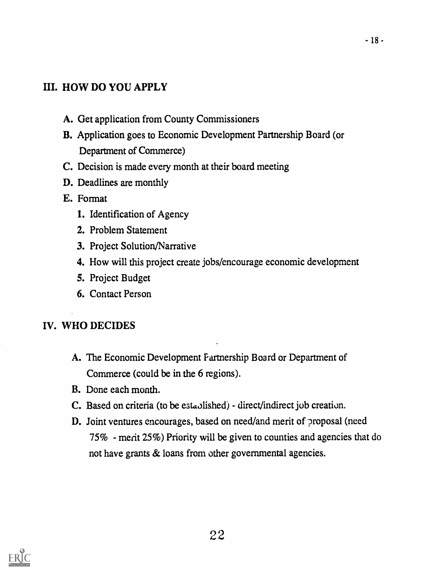### III. HOW DO YOU APPLY

- A. Get application from County Commissioners
- B. Application goes to Economic Development Partnership Board (or Department of Commerce)
- C. Decision is made every month at their board meeting
- D. Deadlines are monthly
- E. Format
	- 1. Identification of Agency
	- 2. Problem Statement
	- 3. Project Solution/Narrative
	- 4. How will this project create jobs/encourage economic development
	- 5. Project Budget
	- 6. Contact Person

### IV. WHO DECIDES

- A. The Economic Development Partnership Board or Department of Commerce (could be in the 6 regions).
- B. Done each month.
- C. Based on criteria (to be established) direct/indirect job creation.
- D. Joint ventures encourages, based on need/and merit of proposal (need 75% - merit 25%) Priority will be given to counties and agencies that do not have grants & loans from other governmental agencies.

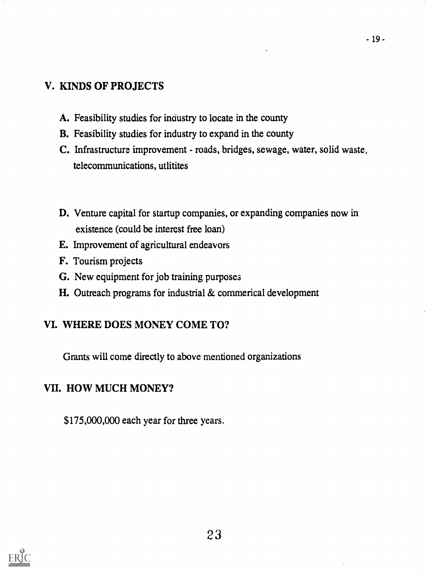### V. KINDS OF PROJECTS

- A. Feasibility studies for industry to locate in the county
- B. Feasibility studies for industry to expand in the county
- C. Infrastructure improvement roads, bridges, sewage, water, solid waste, telecommunications, utlitites
- D. Venture capital for startup companies, or expanding companies now in existence (could be interest free loan)
- E. Improvement of agricultural endeavors
- F. Tourism projects
- G. New equipment for job training purposes
- H. Outreach programs for industrial & commerical development

### VI. WHERE DOES MONEY COME TO?

Grants will come directly to above mentioned organizations

### VII. HOW MUCH MONEY?

\$175,000,000 each year for three years.

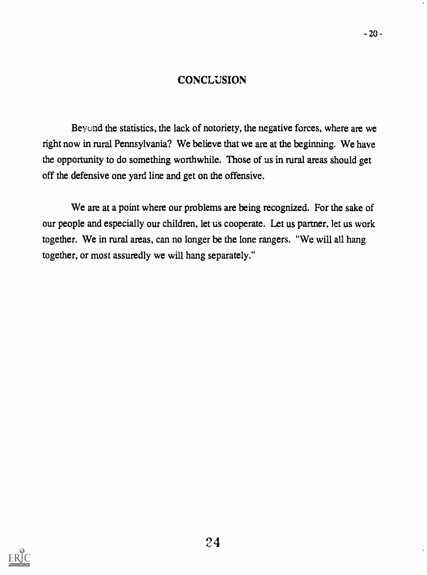#### **CONCLUSION**

Beyond the statistics, the lack of notoriety, the negative forces, where are we right now in rural Pennsylvania? We believe that we are at the beginning. We have the opportunity to do something worthwhile. Those of us in rural areas should get off the defensive one yard line and get on the offensive.

We are at a point where our problems are being recognized. For the sake of our people and especially our children, let us cooperate. Let us partner, let us work together. We in rural areas, can no longer be the lone rangers. "We will all hang together, or most assuredly we will hang separately."